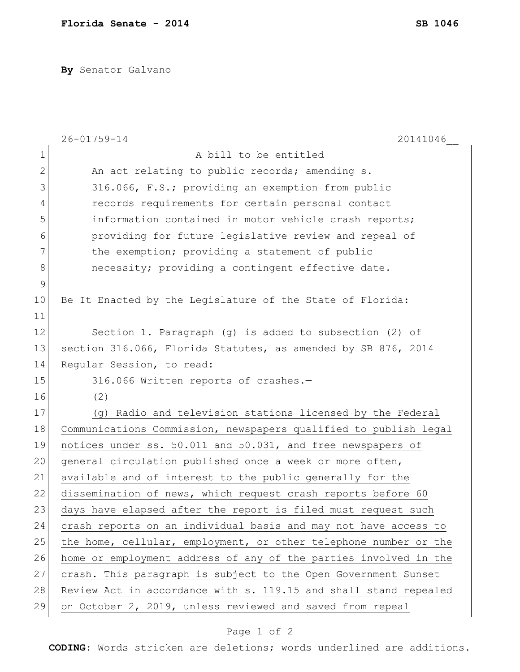**By** Senator Galvano

|               | $26 - 01759 - 14$<br>20141046                                    |
|---------------|------------------------------------------------------------------|
| $\mathbf 1$   | A bill to be entitled                                            |
| $\mathbf{2}$  | An act relating to public records; amending s.                   |
| 3             | 316.066, F.S.; providing an exemption from public                |
| 4             | records requirements for certain personal contact                |
| 5             | information contained in motor vehicle crash reports;            |
| 6             | providing for future legislative review and repeal of            |
| 7             | the exemption; providing a statement of public                   |
| $8\,$         | necessity; providing a contingent effective date.                |
| $\mathcal{G}$ |                                                                  |
| 10            | Be It Enacted by the Legislature of the State of Florida:        |
| 11            |                                                                  |
| 12            | Section 1. Paragraph $(q)$ is added to subsection $(2)$ of       |
| 13            | section 316.066, Florida Statutes, as amended by SB 876, 2014    |
| 14            | Regular Session, to read:                                        |
| 15            | 316.066 Written reports of crashes.-                             |
| 16            | (2)                                                              |
| 17            | (g) Radio and television stations licensed by the Federal        |
| 18            | Communications Commission, newspapers qualified to publish legal |
| 19            | notices under ss. 50.011 and 50.031, and free newspapers of      |
| 20            | general circulation published once a week or more often,         |
| 21            | available and of interest to the public generally for the        |
| 22            | dissemination of news, which request crash reports before 60     |
| 23            | days have elapsed after the report is filed must request such    |
| 24            | crash reports on an individual basis and may not have access to  |
| 25            | the home, cellular, employment, or other telephone number or the |
| 26            | home or employment address of any of the parties involved in the |
| 27            | crash. This paragraph is subject to the Open Government Sunset   |
| 28            | Review Act in accordance with s. 119.15 and shall stand repealed |
| 29            | on October 2, 2019, unless reviewed and saved from repeal        |

## Page 1 of 2

**CODING**: Words stricken are deletions; words underlined are additions.